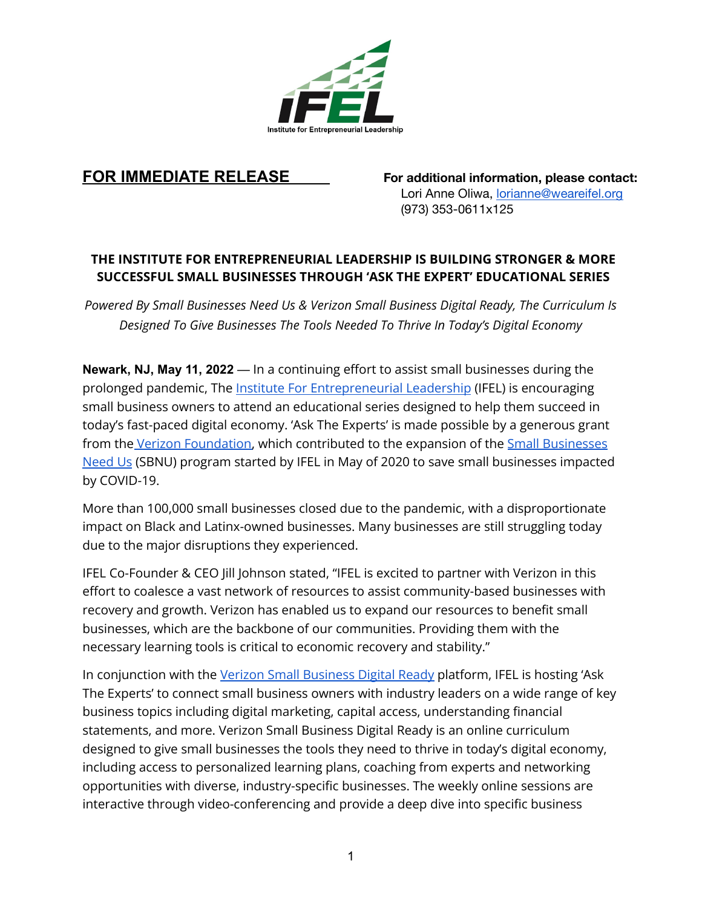

**FOR IMMEDIATE RELEASE For additional information, please contact:** Lori Anne Oliwa, [lorianne@weareifel.org](mailto:lorianne@weareifel.org) (973) 353-0611x125

## **THE INSTITUTE FOR ENTREPRENEURIAL LEADERSHIP IS BUILDING STRONGER & MORE SUCCESSFUL SMALL BUSINESSES THROUGH 'ASK THE EXPERT' EDUCATIONAL SERIES**

*Powered By Small Businesses Need Us & Verizon Small Business Digital Ready, The Curriculum Is Designed To Give Businesses The Tools Needed To Thrive In Today's Digital Economy*

**Newark, NJ, May 11, 2022** — In a continuing effort to assist small businesses during the prolonged pandemic, The Institute For [Entrepreneurial](https://www.weareifel.org) Leadership (IFEL) is encouraging small business owners to attend an educational series designed to help them succeed in today's fast-paced digital economy. 'Ask The Experts' is made possible by a generous grant from the Verizon [Foundation,](https://www.verizon.com/about/responsibility/grant-requirements) which contributed to the expansion of the Small [Businesses](https://www.smallbusinessesneedus.org/) [Need](https://www.smallbusinessesneedus.org/) Us (SBNU) program started by IFEL in May of 2020 to save small businesses impacted by COVID-19.

More than 100,000 small businesses closed due to the pandemic, with a disproportionate impact on Black and Latinx-owned businesses. Many businesses are still struggling today due to the major disruptions they experienced.

IFEL Co-Founder & CEO Jill Johnson stated, "IFEL is excited to partner with Verizon in this effort to coalesce a vast network of resources to assist community-based businesses with recovery and growth. Verizon has enabled us to expand our resources to benefit small businesses, which are the backbone of our communities. Providing them with the necessary learning tools is critical to economic recovery and stability."

In conjunction with the Verizon Small [Business](https://myverizonid.verizon.com/accessmanager/public/c/reg/guest/start?clientId=vag) Digital Ready platform, IFEL is hosting 'Ask The Experts' to connect small business owners with industry leaders on a wide range of key business topics including digital marketing, capital access, understanding financial statements, and more. Verizon Small Business Digital Ready is an online curriculum designed to give small businesses the tools they need to thrive in today's digital economy, including access to personalized learning plans, coaching from experts and networking opportunities with diverse, industry-specific businesses. The weekly online sessions are interactive through video-conferencing and provide a deep dive into specific business